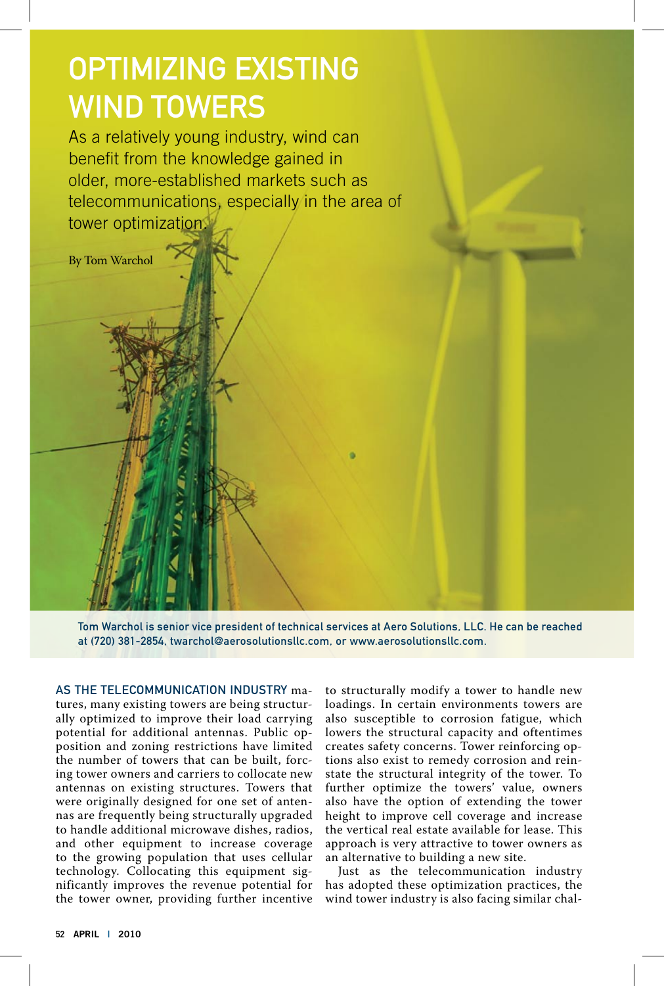## Optimizing Existing WIND TOWERS

As a relatively young industry, wind can benefit from the knowledge gained in older, more-established markets such as telecommunications, especially in the area of tower optimization.



Tom Warchol is senior vice president of technical services at Aero Solutions, LLC. He can be reached at (720) 381-2854, twarchol@aerosolutionsllc.com, or www.aerosolutionsllc.com.

As the telecommunication industry matures, many existing towers are being structurally optimized to improve their load carrying potential for additional antennas. Public opposition and zoning restrictions have limited the number of towers that can be built, forcing tower owners and carriers to collocate new antennas on existing structures. Towers that were originally designed for one set of antennas are frequently being structurally upgraded to handle additional microwave dishes, radios, and other equipment to increase coverage to the growing population that uses cellular technology. Collocating this equipment significantly improves the revenue potential for the tower owner, providing further incentive

to structurally modify a tower to handle new loadings. In certain environments towers are also susceptible to corrosion fatigue, which lowers the structural capacity and oftentimes creates safety concerns. Tower reinforcing options also exist to remedy corrosion and reinstate the structural integrity of the tower. To further optimize the towers' value, owners also have the option of extending the tower height to improve cell coverage and increase the vertical real estate available for lease. This approach is very attractive to tower owners as an alternative to building a new site.

Just as the telecommunication industry has adopted these optimization practices, the wind tower industry is also facing similar chal-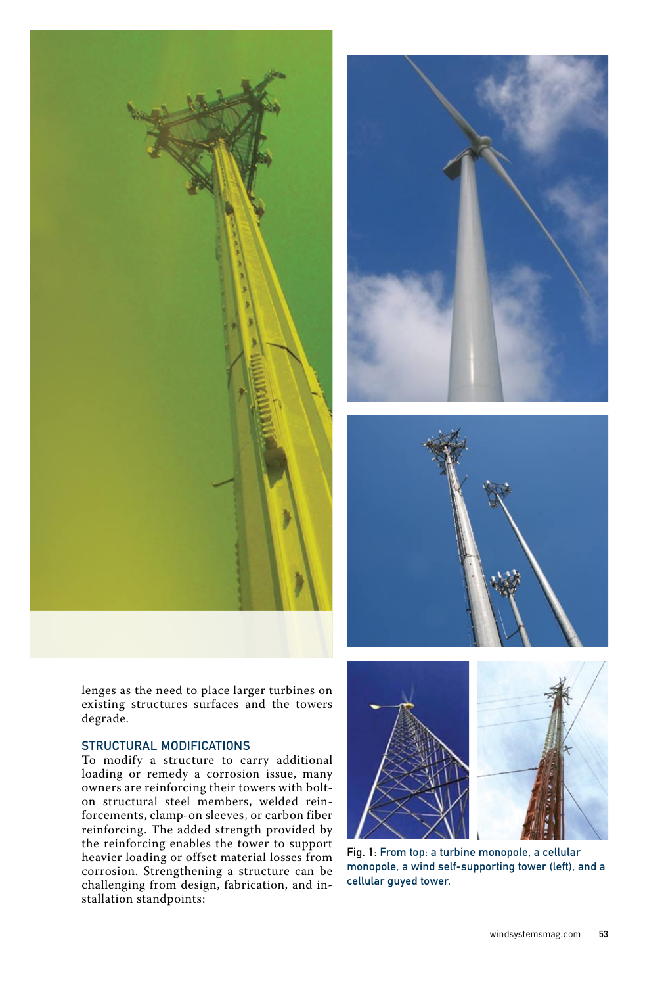





lenges as the need to place larger turbines on existing structures surfaces and the towers degrade.

## Structural Modifications

To modify a structure to carry additional loading or remedy a corrosion issue, many owners are reinforcing their towers with bolton structural steel members, welded reinforcements, clamp-on sleeves, or carbon fiber reinforcing. The added strength provided by the reinforcing enables the tower to support heavier loading or offset material losses from corrosion. Strengthening a structure can be challenging from design, fabrication, and installation standpoints:





Fig. 1: From top: a turbine monopole, a cellular monopole, a wind self-supporting tower (left), and a cellular guyed tower.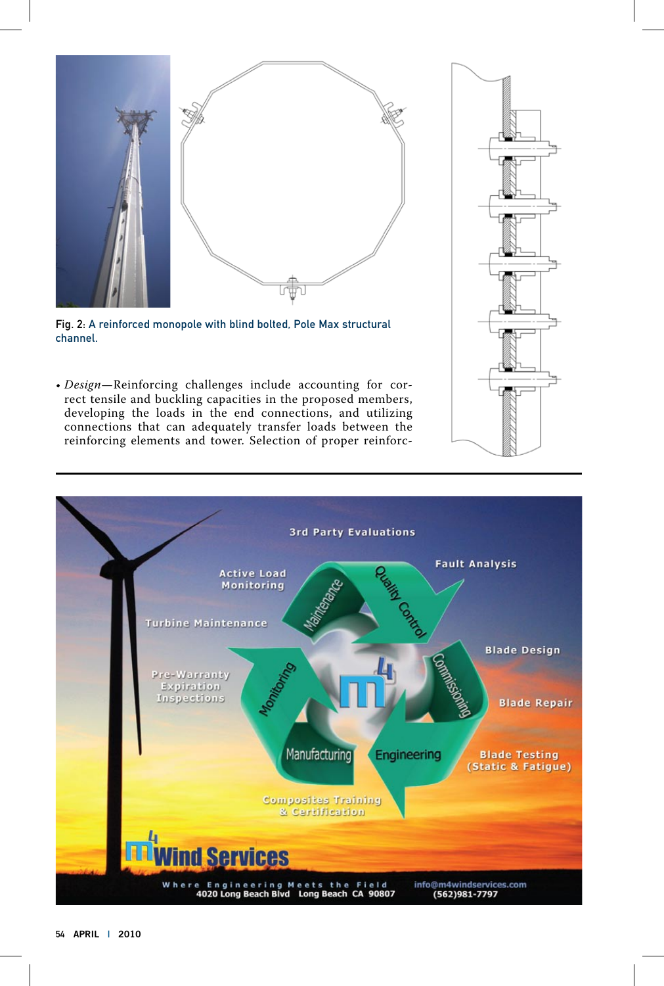

Fig. 2: A reinforced monopole with blind bolted, Pole Max structural channel.

• *Design*—Reinforcing challenges include accounting for correct tensile and buckling capacities in the proposed members, developing the loads in the end connections, and utilizing connections that can adequately transfer loads between the reinforcing elements and tower. Selection of proper reinforc-



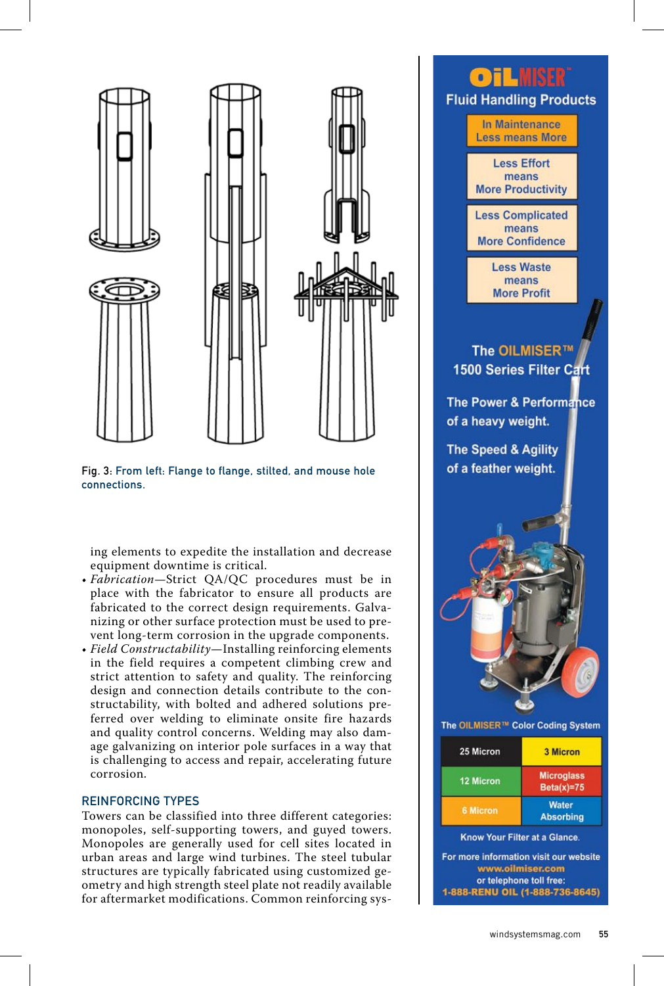

Fig. 3: From left: Flange to flange, stilted, and mouse hole connections.

ing elements to expedite the installation and decrease equipment downtime is critical.

- *Fabrication*—Strict QA/QC procedures must be in place with the fabricator to ensure all products are fabricated to the correct design requirements. Galvanizing or other surface protection must be used to prevent long-term corrosion in the upgrade components.
- *Field Constructability*—Installing reinforcing elements in the field requires a competent climbing crew and strict attention to safety and quality. The reinforcing design and connection details contribute to the constructability, with bolted and adhered solutions preferred over welding to eliminate onsite fire hazards and quality control concerns. Welding may also damage galvanizing on interior pole surfaces in a way that is challenging to access and repair, accelerating future corrosion.

## Reinforcing Types

Towers can be classified into three different categories: monopoles, self-supporting towers, and guyed towers. Monopoles are generally used for cell sites located in urban areas and large wind turbines. The steel tubular structures are typically fabricated using customized geometry and high strength steel plate not readily available for aftermarket modifications. Common reinforcing sys-

## **OT LINER Fluid Handling Products** In Maintenance **Less means More Less Effort** means **More Productivity Less Complicated** means **More Confidence Less Waste** means **More Profit** The OILMISER™ 1500 Series Filter Cart The Power & Performance of a heavy weight. The Speed & Agility of a feather weight. The OILMISER™ Color Coding System 25 Micron **3 Micron Microglass** 12 Micron  $Beta(x)=75$ **Water 6 Micron Absorbing** Know Your Filter at a Glance.

For more information visit our website www.oilmiser.com or telephone toll free: 1-888-RENU OIL (1-888-736-8645)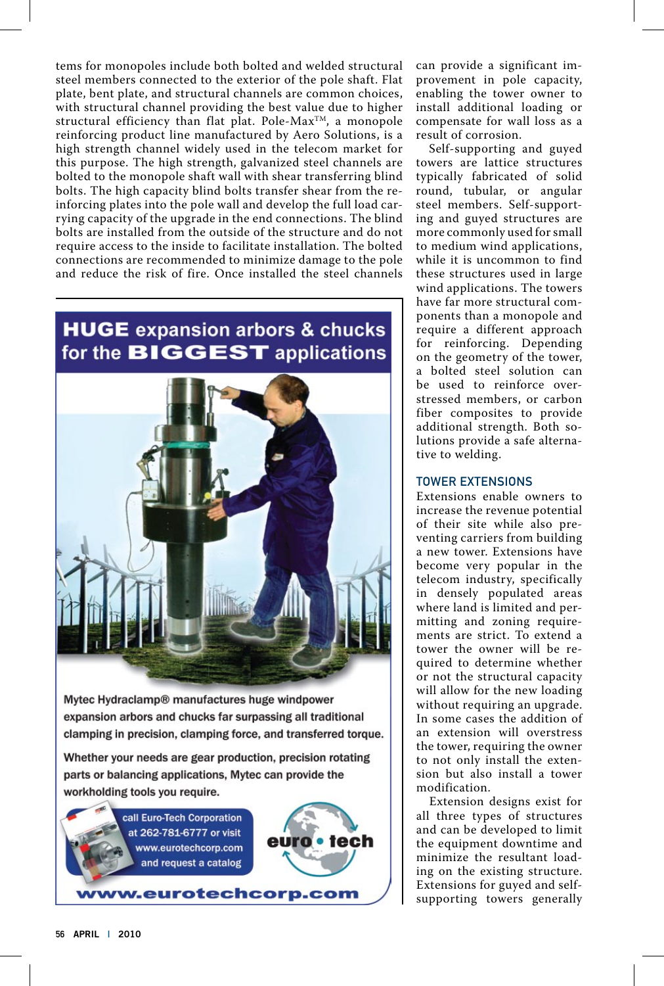tems for monopoles include both bolted and welded structural steel members connected to the exterior of the pole shaft. Flat plate, bent plate, and structural channels are common choices, with structural channel providing the best value due to higher structural efficiency than flat plat. Pole-Max<sup>TM</sup>, a monopole reinforcing product line manufactured by Aero Solutions, is a high strength channel widely used in the telecom market for this purpose. The high strength, galvanized steel channels are bolted to the monopole shaft wall with shear transferring blind bolts. The high capacity blind bolts transfer shear from the reinforcing plates into the pole wall and develop the full load carrying capacity of the upgrade in the end connections. The blind bolts are installed from the outside of the structure and do not require access to the inside to facilitate installation. The bolted connections are recommended to minimize damage to the pole and reduce the risk of fire. Once installed the steel channels

## **HUGE** expansion arbors & chucks for the **BIGGEST** applications



Mytec Hydraclamp® manufactures huge windpower expansion arbors and chucks far surpassing all traditional clamping in precision, clamping force, and transferred torque.

Whether your needs are gear production, precision rotating parts or balancing applications, Mytec can provide the workholding tools you require.



can provide a significant improvement in pole capacity, enabling the tower owner to install additional loading or compensate for wall loss as a result of corrosion.

Self-supporting and guyed towers are lattice structures typically fabricated of solid round, tubular, or angular steel members. Self-supporting and guyed structures are more commonly used for small to medium wind applications, while it is uncommon to find these structures used in large wind applications. The towers have far more structural components than a monopole and require a different approach for reinforcing. Depending on the geometry of the tower, a bolted steel solution can be used to reinforce overstressed members, or carbon fiber composites to provide additional strength. Both solutions provide a safe alternative to welding.

## Tower Extensions

Extensions enable owners to increase the revenue potential of their site while also preventing carriers from building a new tower. Extensions have become very popular in the telecom industry, specifically in densely populated areas where land is limited and permitting and zoning requirements are strict. To extend a tower the owner will be required to determine whether or not the structural capacity will allow for the new loading without requiring an upgrade. In some cases the addition of an extension will overstress the tower, requiring the owner to not only install the extension but also install a tower modification.

Extension designs exist for all three types of structures and can be developed to limit the equipment downtime and minimize the resultant loading on the existing structure. Extensions for guyed and selfsupporting towers generally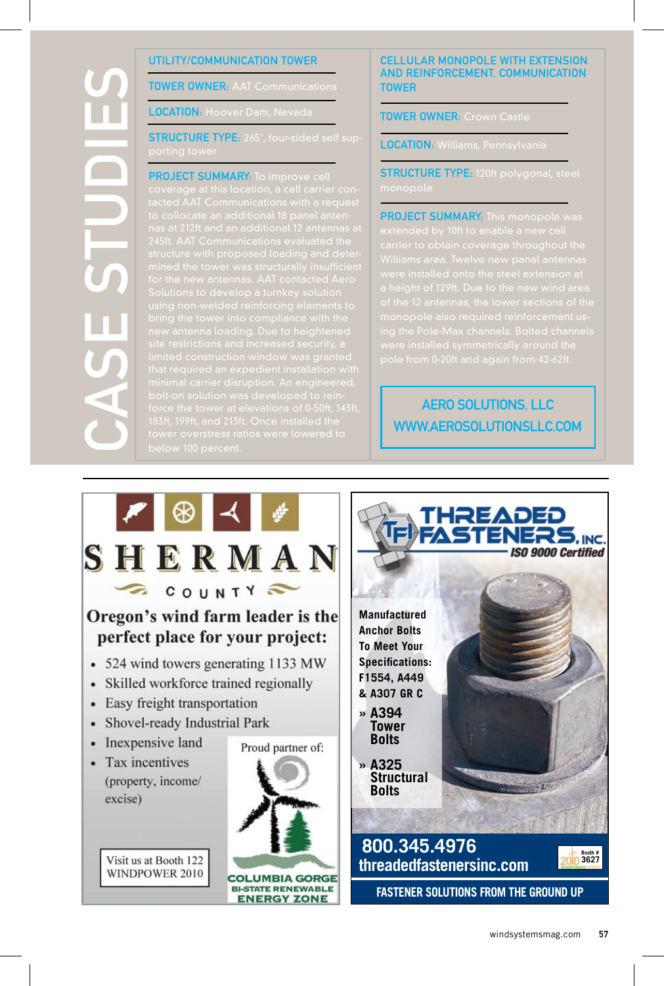# $\mathcal S$  $\boldsymbol{\mathsf{C}}$ eStudi e $\boldsymbol{\mathsf{C}}$

## Utility/Communication Tower

**TOWER OWNER: AAT Communications** 

LOCATION: Hoover Dam, Neva

**STRUCTURE TYPE:** 265', four-sided self sup-

## **PROJECT SUMMARY:** To improve c

comprove cell<br>e at this location, a cell carrier<br>AT Communications with a re-

## Cellular Monopole with Extension and Reinforcement, Communication **TOWER**

TOWER OWNER: Crown Castle

LOCATION: Williams, Pennsylvania

**STRUCTURE TYPE:** 120ft polygonal, steel

PROJECT SUMMARY: This monopole was

## Aero Solutions, LLC www.aerosolutionsllc.com